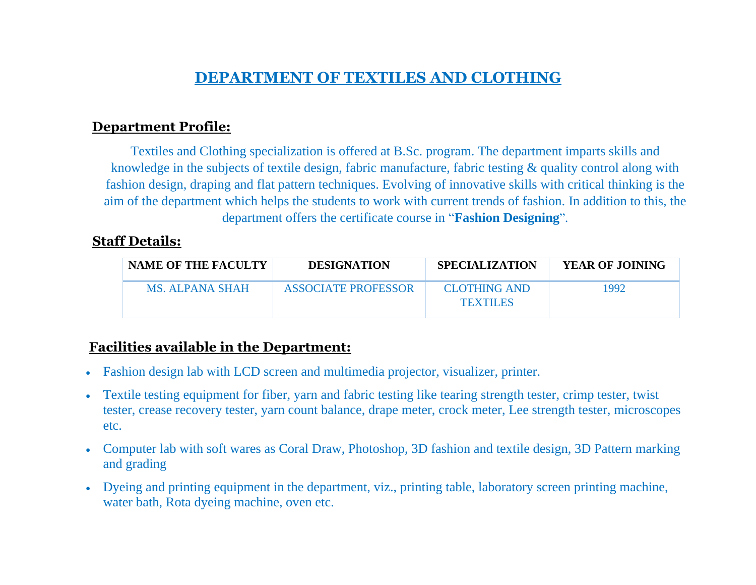# **DEPARTMENT OF TEXTILES AND CLOTHING**

### **Department Profile:**

Textiles and Clothing specialization is offered at B.Sc. program. The department imparts skills and knowledge in the subjects of textile design, fabric manufacture, fabric testing & quality control along with fashion design, draping and flat pattern techniques. Evolving of innovative skills with critical thinking is the aim of the department which helps the students to work with current trends of fashion. In addition to this, the department offers the certificate course in "**Fashion Designing**".

### **Staff Details:**

| <b>NAME OF THE FACULTY</b> | <b>DESIGNATION</b>  | <b>SPECIALIZATION</b>                  | <b>YEAR OF JOINING</b> |
|----------------------------|---------------------|----------------------------------------|------------------------|
| MS ALPANA SHAH             | ASSOCIATE PROFESSOR | <b>CLOTHING AND</b><br><b>TEXTILES</b> | 1992                   |

### **Facilities available in the Department:**

- Fashion design lab with LCD screen and multimedia projector, visualizer, printer.
- Textile testing equipment for fiber, yarn and fabric testing like tearing strength tester, crimp tester, twist tester, crease recovery tester, yarn count balance, drape meter, crock meter, Lee strength tester, microscopes etc.
- Computer lab with soft wares as Coral Draw, Photoshop, 3D fashion and textile design, 3D Pattern marking and grading
- Dyeing and printing equipment in the department, viz., printing table, laboratory screen printing machine, water bath, Rota dyeing machine, oven etc.